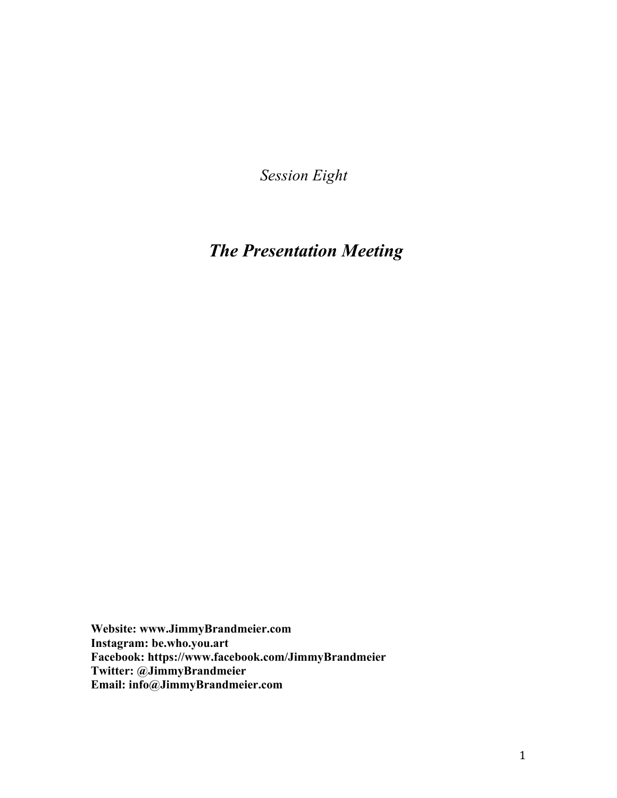*Session Eight*

# *The Presentation Meeting*

**Website: www.JimmyBrandmeier.com Instagram: be.who.you.art Facebook: https://www.facebook.com/JimmyBrandmeier Twitter: @JimmyBrandmeier Email: info@JimmyBrandmeier.com**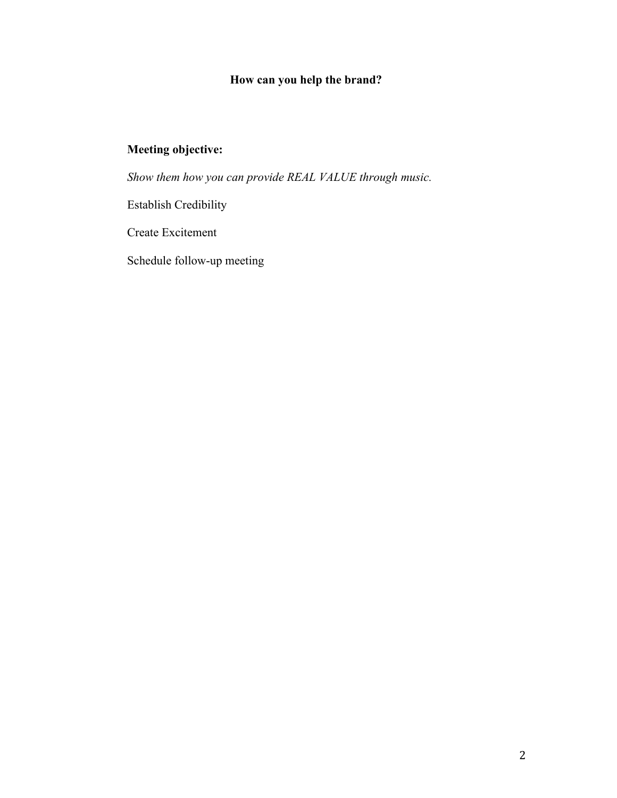### **How can you help the brand?**

### **Meeting objective:**

*Show them how you can provide REAL VALUE through music.*

Establish Credibility

Create Excitement

Schedule follow-up meeting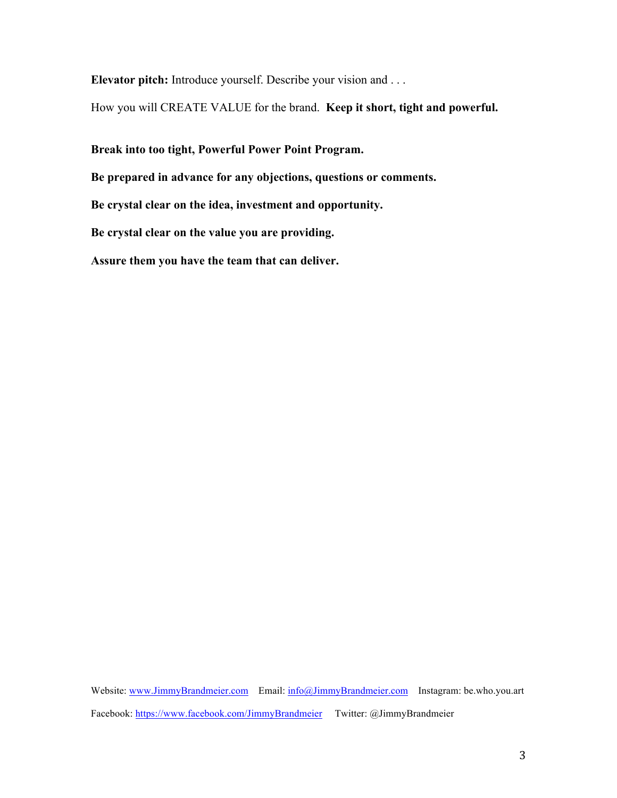**Elevator pitch:** Introduce yourself. Describe your vision and . . .

How you will CREATE VALUE for the brand. **Keep it short, tight and powerful.** 

**Break into too tight, Powerful Power Point Program.**

**Be prepared in advance for any objections, questions or comments.**

**Be crystal clear on the idea, investment and opportunity.**

**Be crystal clear on the value you are providing.** 

**Assure them you have the team that can deliver.**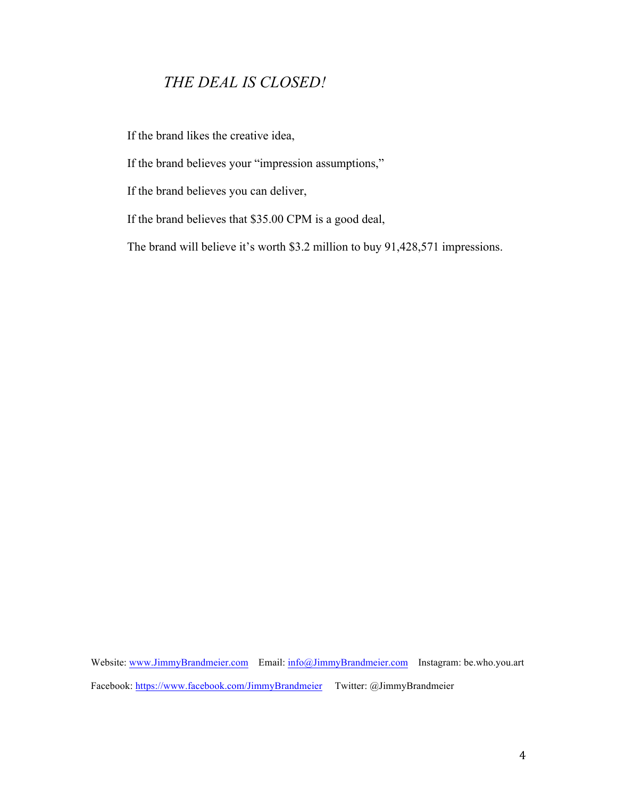### *THE DEAL IS CLOSED!*

If the brand likes the creative idea,

If the brand believes your "impression assumptions,"

If the brand believes you can deliver,

If the brand believes that \$35.00 CPM is a good deal,

The brand will believe it's worth \$3.2 million to buy 91,428,571 impressions.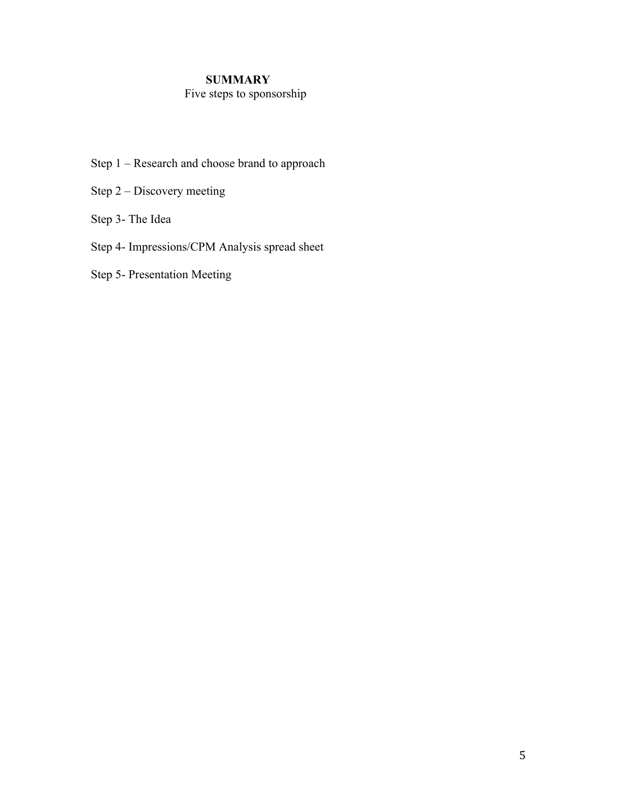#### **SUMMARY**

#### Five steps to sponsorship

- Step 1 Research and choose brand to approach
- Step 2 Discovery meeting
- Step 3- The Idea
- Step 4- Impressions/CPM Analysis spread sheet
- Step 5- Presentation Meeting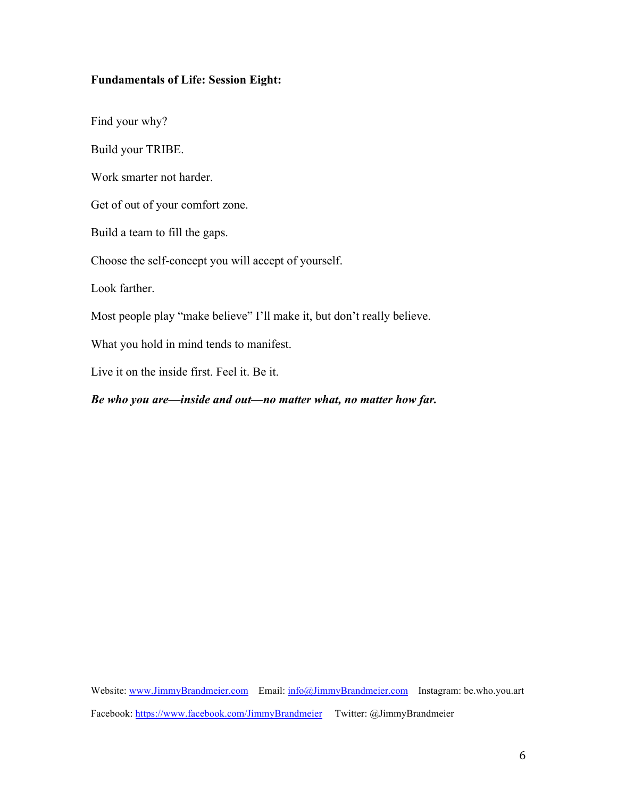#### **Fundamentals of Life: Session Eight:**

Find your why?

Build your TRIBE.

Work smarter not harder.

Get of out of your comfort zone.

Build a team to fill the gaps.

Choose the self-concept you will accept of yourself.

Look farther.

Most people play "make believe" I'll make it, but don't really believe.

What you hold in mind tends to manifest.

Live it on the inside first. Feel it. Be it.

#### *Be who you are—inside and out—no matter what, no matter how far.*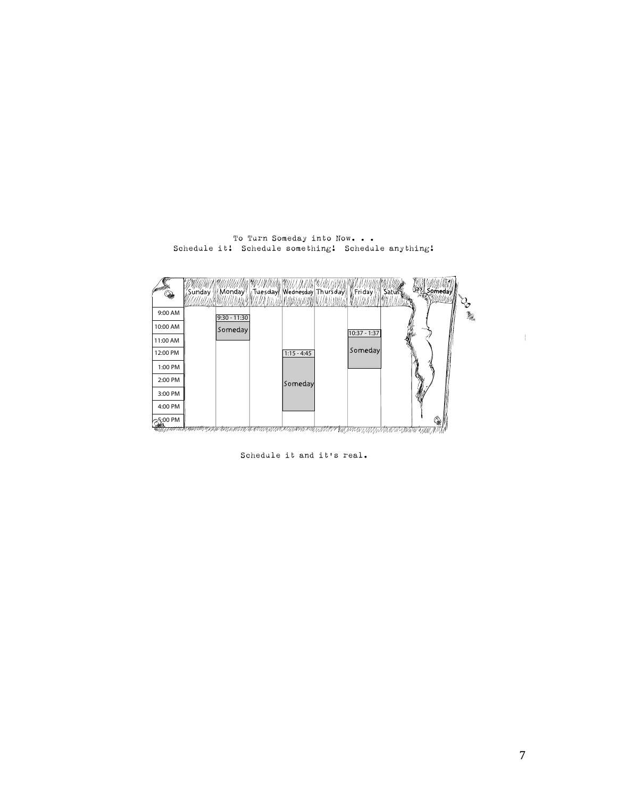

To Turn Someday into Now. . . Schedule it! Schedule something! Schedule anything!



 $\backslash$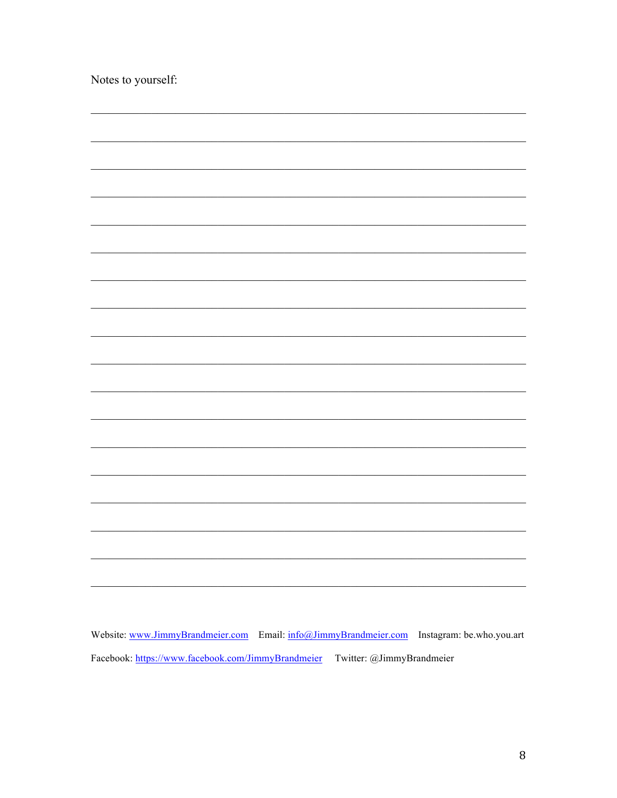| Notes to yourself: |  |
|--------------------|--|
|                    |  |
|                    |  |
|                    |  |
|                    |  |
|                    |  |
|                    |  |
|                    |  |
|                    |  |
|                    |  |
|                    |  |
|                    |  |
|                    |  |
|                    |  |
|                    |  |
|                    |  |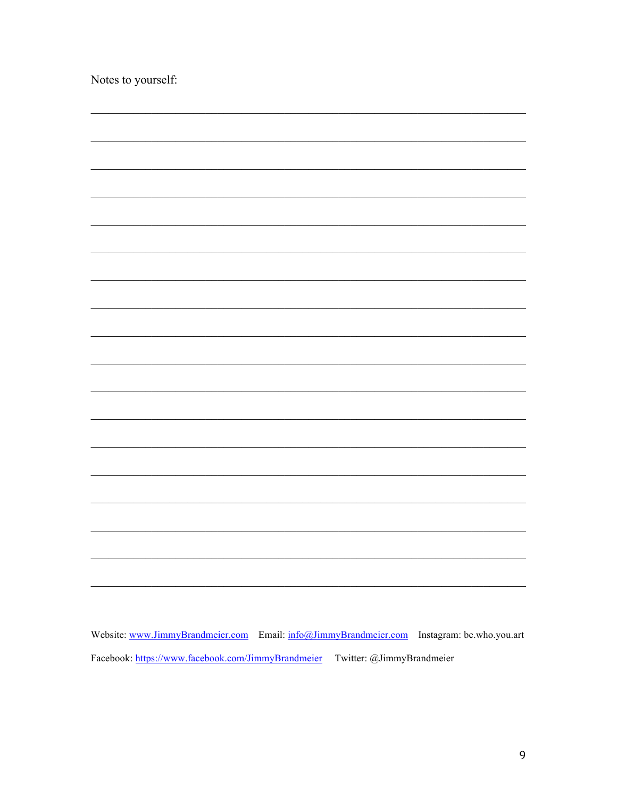| Notes to yourself: |  |
|--------------------|--|
|                    |  |
|                    |  |
|                    |  |
|                    |  |
|                    |  |
|                    |  |
|                    |  |
|                    |  |
|                    |  |
|                    |  |
|                    |  |
|                    |  |
|                    |  |
|                    |  |
|                    |  |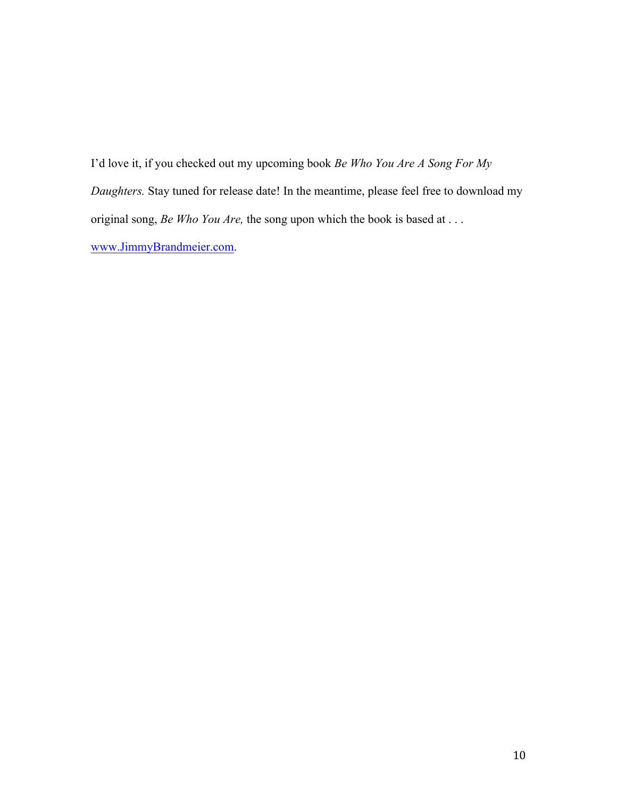I'd love it, if you checked out my upcoming book *Be Who You Are A Song For My Daughters.* Stay tuned for release date! In the meantime, please feel free to download my original song, *Be Who You Are,* the song upon which the book is based at . . . www.JimmyBrandmeier.com.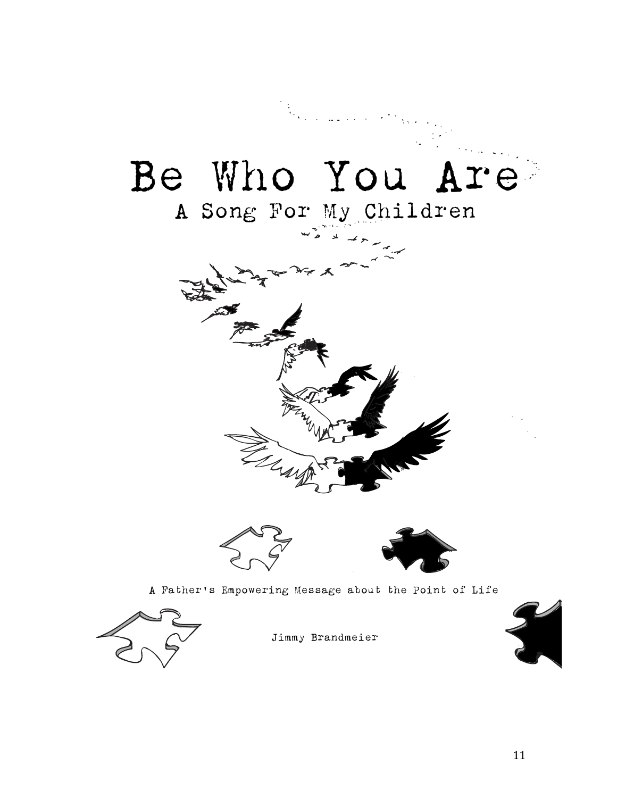



Jimmy Brandmeier